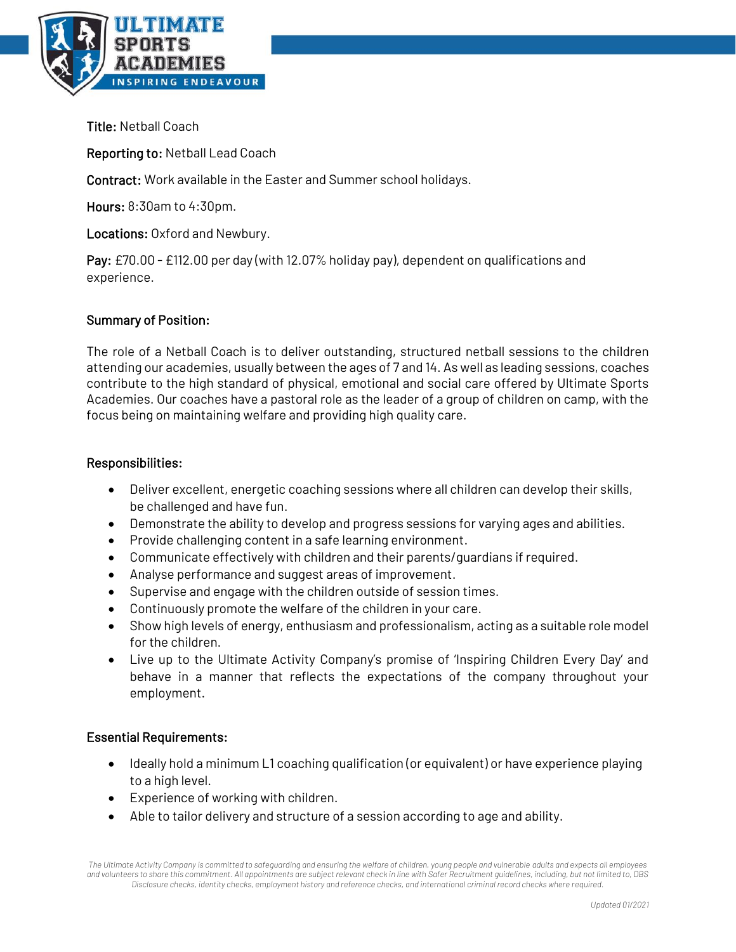

Title: Netball Coach

Reporting to: Netball Lead Coach

Contract: Work available in the Easter and Summer school holidays.

Hours: 8:30am to 4:30pm.

Locations: Oxford and Newbury.

Pay: £70.00 - £112.00 per day (with 12.07% holiday pay), dependent on qualifications and experience.

## Summary of Position:

The role of a Netball Coach is to deliver outstanding, structured netball sessions to the children attending our academies, usually between the ages of 7 and 14. As well as leading sessions, coaches contribute to the high standard of physical, emotional and social care offered by Ultimate Sports Academies. Our coaches have a pastoral role as the leader of a group of children on camp, with the focus being on maintaining welfare and providing high quality care.

## Responsibilities:

- Deliver excellent, energetic coaching sessions where all children can develop their skills, be challenged and have fun.
- Demonstrate the ability to develop and progress sessions for varying ages and abilities.
- Provide challenging content in a safe learning environment.
- Communicate effectively with children and their parents/guardians if required.
- Analyse performance and suggest areas of improvement.
- Supervise and engage with the children outside of session times.
- Continuously promote the welfare of the children in your care.
- Show high levels of energy, enthusiasm and professionalism, acting as a suitable role model for the children.
- Live up to the Ultimate Activity Company's promise of 'Inspiring Children Every Day' and behave in a manner that reflects the expectations of the company throughout your employment.

## Essential Requirements:

- Ideally hold a minimum L1 coaching qualification (or equivalent) or have experience playing to a high level.
- Experience of working with children.
- Able to tailor delivery and structure of a session according to age and ability.

*The Ultimate Activity Company is committed to safeguarding and ensuring the welfare of children, young people and vulnerable adults and expects all employees and volunteers to share this commitment. All appointments are subject relevant check in line with Safer Recruitment guidelines, including, but not limited to, DBS Disclosure checks, identity checks, employment history and reference checks, and international criminal record checks where required.*